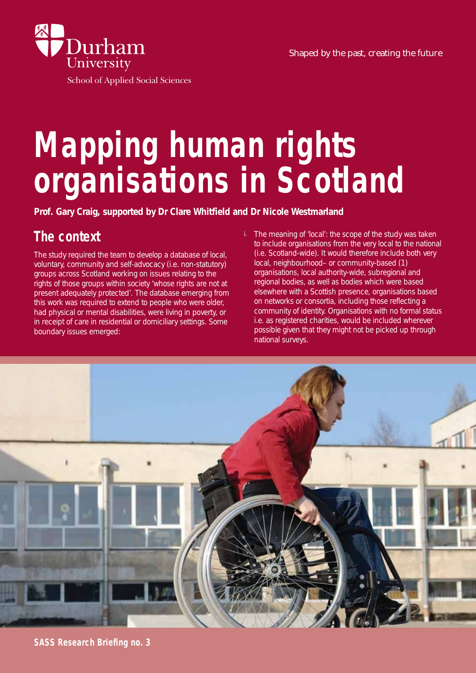Shaped by the past, creating the future



School of Applied Social Sciences

# **Mapping human rights organisations in Scotland**

## **The context**

The study required the team to develop a database of local, voluntary, community and self-advocacy (i.e. non-statutory) groups across Scotland working on issues relating to the rights of those groups within society 'whose rights are not at present adequately protected'. The database emerging from this work was required to extend to people who were older, had physical or mental disabilities, were living in poverty, or in receipt of care in residential or domiciliary settings. Some boundary issues emerged:

i. The meaning of 'local': the scope of the study was taken to include organisations from the very local to the national (i.e. Scotland-wide). It would therefore include both very local, neighbourhood– or community-based (1) organisations, local authority-wide, subregional and regional bodies, as well as bodies which were based elsewhere with a Scottish presence, organisations based on networks or consortia, including those reflecting a community of identity. Organisations with no formal status i.e. as registered charities, would be included wherever possible given that they might not be picked up through national surveys.

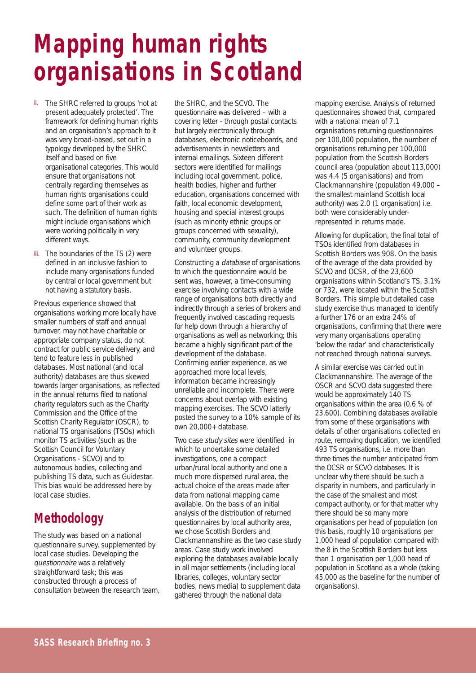# **Mapping human rights organisations in Scotland**

- ii. The SHRC referred to groups 'not at present adequately protected'. The framework for defining human rights and an organisation's approach to it was very broad-based, set out in a typology developed by the SHRC itself and based on five organisational categories. This would ensure that organisations not centrally regarding themselves as human rights organisations could define some part of their work as such. The definition of human rights might include organisations which were working politically in very different ways.
- iii. The boundaries of the TS (2) were defined in an inclusive fashion to include many organisations funded by central or local government but not having a statutory basis.

Previous experience showed that organisations working more locally have smaller numbers of staff and annual turnover, may not have charitable or appropriate company status, do not contract for public service delivery, and tend to feature less in published databases. Most national (and local authority) databases are thus skewed towards larger organisations, as reflected in the annual returns filed to national charity regulators such as the Charity Commission and the Office of the Scottish Charity Regulator (OSCR), to national TS organisations (TSOs) which monitor TS activities (such as the Scottish Council for Voluntary Organisations - SCVO) and to autonomous bodies, collecting and publishing TS data, such as Guidestar. This bias would be addressed here by local case studies.

#### **Methodology**

The study was based on a national questionnaire survey, supplemented by local case studies. Developing the questionnaire was a relatively straightforward task; this was constructed through a process of consultation between the research team,

the SHRC, and the SCVO. The questionnaire was delivered – with a covering letter - through postal contacts but largely electronically through databases, electronic noticeboards, and advertisements in newsletters and internal emailings. Sixteen different sectors were identified for mailings including local government, police, health bodies, higher and further education, organisations concerned with faith, local economic development, housing and special interest groups (such as minority ethnic groups or groups concerned with sexuality), community, community development and volunteer groups.

Constructing a database of organisations to which the questionnaire would be sent was, however, a time-consuming exercise involving contacts with a wide range of organisations both directly and indirectly through a series of brokers and frequently involved cascading requests for help down through a hierarchy of organisations as well as networking; this became a highly significant part of the development of the database. Confirming earlier experience, as we approached more local levels, information became increasingly unreliable and incomplete. There were concerns about overlap with existing mapping exercises. The SCVO latterly posted the survey to a 10% sample of its own 20,000+ database.

Two case study sites were identified in which to undertake some detailed investigations, one a compact urban/rural local authority and one a much more dispersed rural area, the actual choice of the areas made after data from national mapping came available. On the basis of an initial analysis of the distribution of returned questionnaires by local authority area, we chose Scottish Borders and Clackmannanshire as the two case study areas. Case study work involved exploring the databases available locally in all major settlements (including local libraries, colleges, voluntary sector bodies, news media) to supplement data gathered through the national data

mapping exercise. Analysis of returned questionnaires showed that, compared with a national mean of 7.1 organisations returning questionnaires per 100,000 population, the number of organisations returning per 100,000 population from the Scottish Borders council area (population about 113,000) was 4.4 (5 organisations) and from Clackmannanshire (population 49,000 – the smallest mainland Scottish local authority) was 2.0 (1 organisation) i.e. both were considerably underrepresented in returns made.

Allowing for duplication, the final total of TSOs identified from databases in Scottish Borders was 908. On the basis of the average of the data provided by SCVO and OCSR, of the 23,600 organisations within Scotland's TS, 3.1% or 732, were located within the Scottish Borders. This simple but detailed case study exercise thus managed to identify a further 176 or an extra 24% of organisations, confirming that there were very many organisations operating 'below the radar' and characteristically not reached through national surveys.

A similar exercise was carried out in Clackmannanshire. The average of the OSCR and SCVO data suggested there would be approximately 140 TS organisations within the area (0.6 % of 23,600). Combining databases available from some of these organisations with details of other organisations collected en route, removing duplication, we identified 493 TS organisations, i.e. more than three times the number anticipated from the OCSR or SCVO databases. It is unclear why there should be such a disparity in numbers, and particularly in the case of the smallest and most compact authority, or for that matter why there should be so many more organisations per head of population (on this basis, roughly 10 organisations per 1,000 head of population compared with the 8 in the Scottish Borders but less than 1 organisation per 1,000 head of population in Scotland as a whole (taking 45,000 as the baseline for the number of organisations).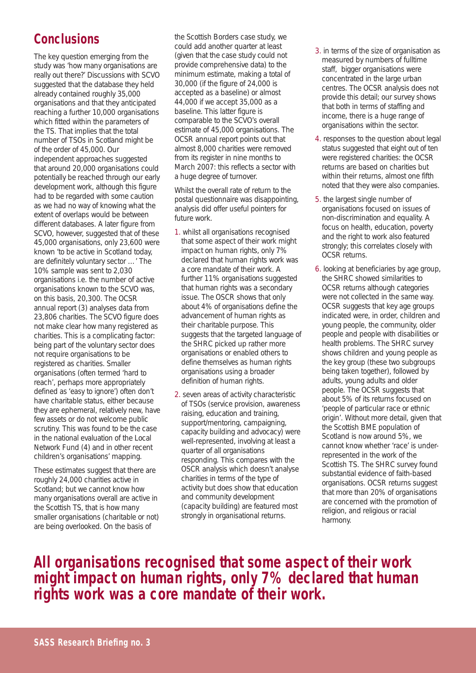#### **Conclusions**

The key question emerging from the study was 'how many organisations are really out there?' Discussions with SCVO suggested that the database they held already contained roughly 35,000 organisations and that they anticipated reaching a further 10,000 organisations which fitted within the parameters of the TS. That implies that the total number of TSOs in Scotland might be of the order of 45,000. Our independent approaches suggested that around 20,000 organisations could potentially be reached through our early development work, although this figure had to be regarded with some caution as we had no way of knowing what the extent of overlaps would be between different databases. A later figure from SCVO, however, suggested that of these 45,000 organisations, only 23,600 were known 'to be active in Scotland today, are definitely voluntary sector …' The 10% sample was sent to 2,030 organisations i.e. the number of active organisations known to the SCVO was, on this basis, 20,300. The OCSR annual report (3) analyses data from 23,806 charities. The SCVO figure does not make clear how many registered as charities. This is a complicating factor: being part of the voluntary sector does not require organisations to be registered as charities. Smaller organisations (often termed 'hard to reach', perhaps more appropriately defined as 'easy to ignore') often don't have charitable status, either because they are ephemeral, relatively new, have few assets or do not welcome public scrutiny. This was found to be the case in the national evaluation of the Local Network Fund (4) and in other recent children's organisations' mapping.

These estimates suggest that there are roughly 24,000 charities active in Scotland; but we cannot know how many organisations overall are active in the Scottish TS, that is how many smaller organisations (charitable or not) are being overlooked. On the basis of

the Scottish Borders case study, we could add another quarter at least (given that the case study could not provide comprehensive data) to the minimum estimate, making a total of 30,000 (if the figure of 24,000 is accepted as a baseline) or almost 44,000 if we accept 35,000 as a baseline. This latter figure is comparable to the SCVO's overall estimate of 45,000 organisations. The OCSR annual report points out that almost 8,000 charities were removed from its register in nine months to March 2007: this reflects a sector with a huge degree of turnover.

Whilst the overall rate of return to the postal questionnaire was disappointing, analysis did offer useful pointers for future work.

- 1. whilst all organisations recognised that some aspect of their work might impact on human rights, only 7% declared that human rights work was a core mandate of their work. A further 11% organisations suggested that human rights was a secondary issue. The OSCR shows that only about 4% of organisations define the advancement of human rights as their charitable purpose. This suggests that the targeted language of the SHRC picked up rather more organisations or enabled others to define themselves as human rights organisations using a broader definition of human rights.
- 2. seven areas of activity characteristic of TSOs (service provision, awareness raising, education and training, support/mentoring, campaigning, capacity building and advocacy) were well-represented, involving at least a quarter of all organisations responding. This compares with the OSCR analysis which doesn't analyse charities in terms of the type of activity but does show that education and community development (capacity building) are featured most strongly in organisational returns.
- 3. in terms of the size of organisation as measured by numbers of fulltime staff, bigger organisations were concentrated in the large urban centres. The OCSR analysis does not provide this detail; our survey shows that both in terms of staffing and income, there is a huge range of organisations within the sector.
- 4. responses to the question about legal status suggested that eight out of ten were registered charities: the OCSR returns are based on charities but within their returns, almost one fifth noted that they were also companies.
- 5. the largest single number of organisations focused on issues of non-discrimination and equality. A focus on health, education, poverty and the right to work also featured strongly; this correlates closely with OCSR returns.
- 6. looking at beneficiaries by age group, the SHRC showed similarities to OCSR returns although categories were not collected in the same way. OCSR suggests that key age groups indicated were, in order, children and young people, the community, older people and people with disabilities or health problems. The SHRC survey shows children and young people as the key group (these two subgroups being taken together), followed by adults, young adults and older people. The OCSR suggests that about 5% of its returns focused on 'people of particular race or ethnic origin'. Without more detail, given that the Scottish BME population of Scotland is now around 5%, we cannot know whether 'race' is underrepresented in the work of the Scottish TS. The SHRC survey found substantial evidence of faith-based organisations. OCSR returns suggest that more than 20% of organisations are concerned with the promotion of religion, and religious or racial harmony.

**All organisations recognised that some aspect of their work might impact on human rights, only 7% declared that human rights work was a core mandate of their work.**